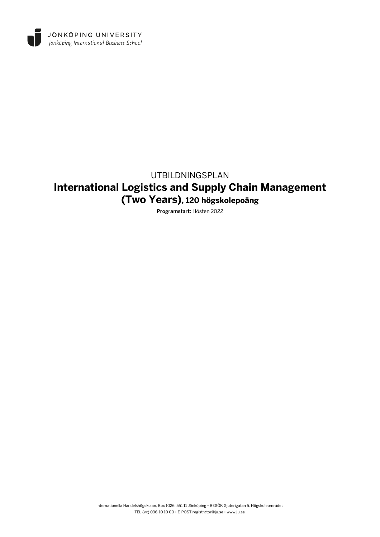

# UTBILDNINGSPLAN **International Logistics and Supply Chain Management (Two Years), 120 högskolepoäng**

Programstart: Hösten 2022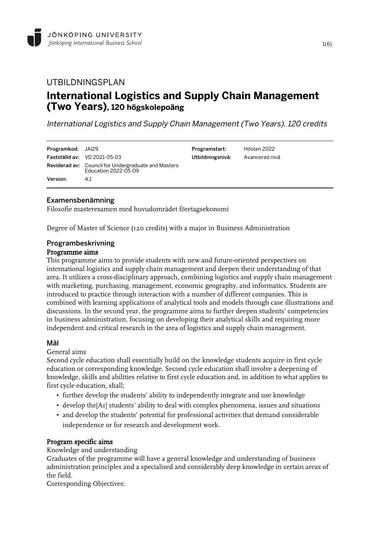## UTBILDNINGSPLAN **International Logistics and Supply Chain Management (Two Years), 120 högskolepoäng**

International Logistics and Supply Chain Management (Two Years), 120 credits

| <b>Programkod:</b> JAI29 | <b>Fastställd av:</b> $VD$ 2021-05-03                                              | Programstart:<br>Utbildningsnivå: | Hösten 2022<br>Avancerad nivå |
|--------------------------|------------------------------------------------------------------------------------|-----------------------------------|-------------------------------|
|                          | <b>Reviderad av:</b> Council for Undergraduate and Masters<br>Education 2022-05-09 |                                   |                               |
| Version:                 | 4.1                                                                                |                                   |                               |

### Examensbenämning

Filosofie masterexamen med huvudområdet företagsekonomi

Degree of Master of Science (120 credits) with a major in Business Administration

### Programbeskrivning

#### Programme aims

This programme aims to provide students with new and future-oriented perspectives on international logistics and supply chain management and deepen their understanding of that area. It utilizes a cross-disciplinary approach, combining logistics and supply chain management with marketing, purchasing, management, economic geography, and informatics. Students are introduced to practice through interaction with a number of different companies. This is combined with learning applications of analytical tools and models through case illustrations and discussions. In the second year, the programme aims to further deepen students' competencies in business administration, focusing on developing their analytical skills and requiring more independent and critical research in the area of logistics and supply chain management.

### Mål

General aims

Second cycle education shall essentially build on the knowledge students acquire in first cycle education or corresponding knowledge. Second cycle education shall involve a deepening of knowledge, skills and abilities relative to first cycle education and, in addition to what applies to first cycle education, shall;

- further develop the students' ability to independently integrate and use knowledge
- develop the[A1] students' ability to deal with complex phenomena, issues and situations
- and develop the students' potential for professional activities that demand considerable independence or for research and development work.

### Program specific aims

Knowledge and understanding

Graduates of the programme will have a general knowledge and understanding of business administration principles and a specialised and considerably deep knowledge in certain areas of the field.

Corresponding Objectives: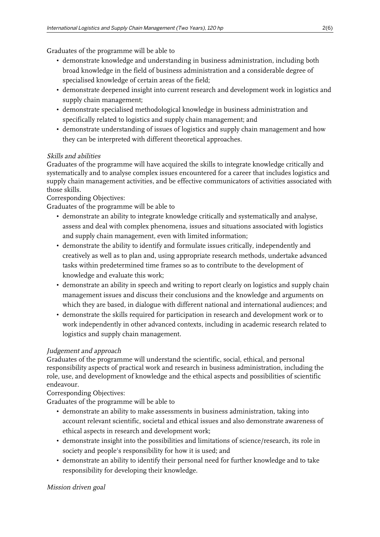Graduates of the programme will be able to

- demonstrate knowledge and understanding in business administration, including both broad knowledge in the field of business administration and a considerable degree of specialised knowledge of certain areas of the field;
- demonstrate deepened insight into current research and development work in logistics and supply chain management;
- demonstrate specialised methodological knowledge in business administration and specifically related to logistics and supply chain management; and
- demonstrate understanding of issues of logistics and supply chain management and how they can be interpreted with different theoretical approaches.

### Skills and abilities

Graduates of the programme will have acquired the skills to integrate knowledge critically and systematically and to analyse complex issues encountered for a career that includes logistics and supply chain management activities, and be effective communicators of activities associated with those skills.

Corresponding Objectives:

Graduates of the programme will be able to

- demonstrate an ability to integrate knowledge critically and systematically and analyse, assess and deal with complex phenomena, issues and situations associated with logistics and supply chain management, even with limited information;
- demonstrate the ability to identify and formulate issues critically, independently and creatively as well as to plan and, using appropriate research methods, undertake advanced tasks within predetermined time frames so as to contribute to the development of knowledge and evaluate this work;
- demonstrate an ability in speech and writing to report clearly on logistics and supply chain management issues and discuss their conclusions and the knowledge and arguments on which they are based, in dialogue with different national and international audiences; and
- demonstrate the skills required for participation in research and development work or to work independently in other advanced contexts, including in academic research related to logistics and supply chain management.

## Judgement and approach

Graduates of the programme will understand the scientific, social, ethical, and personal responsibility aspects of practical work and research in business administration, including the role, use, and development of knowledge and the ethical aspects and possibilities of scientific endeavour.

Corresponding Objectives:

Graduates of the programme will be able to

- demonstrate an ability to make assessments in business administration, taking into account relevant scientific, societal and ethical issues and also demonstrate awareness of ethical aspects in research and development work;
- demonstrate insight into the possibilities and limitations of science/research, its role in society and people's responsibility for how it is used; and
- demonstrate an ability to identify their personal need for further knowledge and to take responsibility for developing their knowledge.

Mission driven goal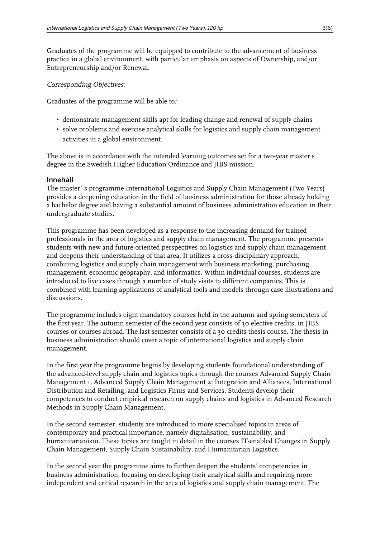Graduates of the programme will be equipped to contribute to the advancement of business practice in a global environment, with particular emphasis on aspects of Ownership, and/or Entrepreneurship and/or Renewal.

#### Corresponding Objectives:

Graduates of the programme will be able to:

- demonstrate management skills apt for leading change and renewal of supply chains
- solve problems and exercise analytical skills for logistics and supply chain management activities in a global environment.

The above is in accordance with the intended learning outcomes set for a two-year master's degree in the Swedish Higher Education Ordinance and JIBS mission.

### Innehåll

The master´s programme International Logistics and Supply Chain Management (Two Years) provides a deepening education in the field of business administration for those already holding a bachelor degree and having a substantial amount of business administration education in their undergraduate studies.

This programme has been developed as a response to the increasing demand for trained professionals in the area of logistics and supply chain management. The programme presents students with new and future-oriented perspectives on logistics and supply chain management and deepens their understanding of that area. It utilizes a cross-disciplinary approach, combining logistics and supply chain management with business marketing, purchasing, management, economic geography, and informatics. Within individual courses, students are introduced to live cases through a number of study visits to different companies. This is combined with learning applications of analytical tools and models through case illustrations and discussions.

The programme includes eight mandatory courses held in the autumn and spring semesters of the first year. The autumn semester of the second year consists of 30 elective credits, in JIBS courses or courses abroad. The last semester consists of a 30 credits thesis course. The thesis in business administration should cover a topic of international logistics and supply chain management.

In the first year the programme begins by developing students foundational understanding of the advanced-level supply chain and logistics topics through the courses Advanced Supply Chain Management 1, Advanced Supply Chain Management 2: Integration and Alliances, International Distribution and Retailing, and Logistics Firms and Services. Students develop their competences to conduct empirical research on supply chains and logistics in Advanced Research Methods in Supply Chain Management.

In the second semester, students are introduced to more specialised topics in areas of contemporary and practical importance, namely digitalisation, sustainability, and humanitarianism. These topics are taught in detail in the courses IT-enabled Changes in Supply Chain Management, Supply Chain Sustainability, and Humanitarian Logistics.

In the second year the programme aims to further deepen the students' competencies in business administration, focusing on developing their analytical skills and requiring more independent and critical research in the area of logistics and supply chain management. The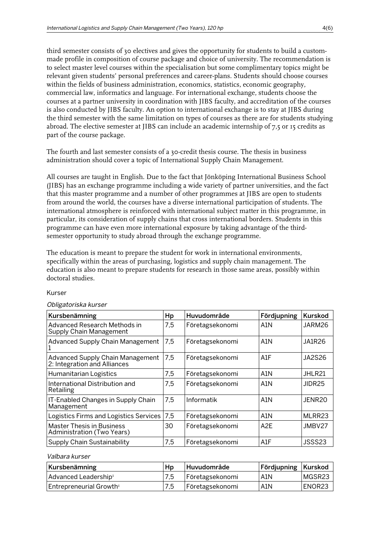third semester consists of 30 electives and gives the opportunity for students to build a custommade profile in composition of course package and choice of university. The recommendation is to select master level courses within the specialisation but some complimentary topics might be relevant given students' personal preferences and career-plans. Students should choose courses within the fields of business administration, economics, statistics, economic geography, commercial law, informatics and language. For international exchange, students choose the courses at a partner university in coordination with JIBS faculty, and accreditation of the courses is also conducted by JIBS faculty. An option to international exchange is to stay at JIBS during the third semester with the same limitation on types of courses as there are for students studying abroad. The elective semester at JIBS can include an academic internship of 7,5 or 15 credits as part of the course package.

The fourth and last semester consists of a 30-credit thesis course. The thesis in business administration should cover a topic of International Supply Chain Management.

All courses are taught in English. Due to the fact that Jönköping International Business School (JIBS) has an exchange programme including a wide variety of partner universities, and the fact that this master programme and a number of other programmes at JIBS are open to students from around the world, the courses have a diverse international participation of students. The international atmosphere is reinforced with international subject matter in this programme, in particular, its consideration of supply chains that cross international borders. Students in this programme can have even more international exposure by taking advantage of the thirdsemester opportunity to study abroad through the exchange programme.

The education is meant to prepare the student for work in international environments, specifically within the areas of purchasing, logistics and supply chain management. The education is also meant to prepare students for research in those same areas, possibly within doctoral studies.

#### Kurser

#### Obligatoriska kurser

| Kursbenämning                                                    | Hp  | Huvudområde     | Fördjupning      | Kurskod       |
|------------------------------------------------------------------|-----|-----------------|------------------|---------------|
| Advanced Research Methods in<br><b>Supply Chain Management</b>   | 7,5 | Företagsekonomi | A <sub>1</sub> N | JARM26        |
| <b>Advanced Supply Chain Management</b>                          | 7,5 | Företagsekonomi | A1N              | <b>JA1R26</b> |
| Advanced Supply Chain Management<br>2: Integration and Alliances | 7,5 | Företagsekonomi | A1F              | <b>JA2S26</b> |
| Humanitarian Logistics                                           | 7,5 | Företagsekonomi | A1N              | JHLR21        |
| International Distribution and<br>Retailing                      | 7,5 | Företagsekonomi | A <sub>1</sub> N | JIDR25        |
| IT-Enabled Changes in Supply Chain<br>Management                 | 7,5 | Informatik      | A1N              | JENR20        |
| Logistics Firms and Logistics Services                           | 7,5 | Företagsekonomi | A1N              | MLRR23        |
| <b>Master Thesis in Business</b><br>Administration (Two Years)   | 30  | Företagsekonomi | A <sub>2</sub> E | JMBV27        |
| Supply Chain Sustainability                                      | 7.5 | Företagsekonomi | A1F              | JSSS23        |

#### Valbara kurser

| Kursbenämning                       | Hp  | Huvudområde     | Fördjupning   Kurskod |        |
|-------------------------------------|-----|-----------------|-----------------------|--------|
| Advanced Leadership¤                | 7.5 | Företagsekonomi | A1N                   | MGSR23 |
| Entrepreneurial Growth <sup>1</sup> | 7.5 | Företagsekonomi | A1N                   | ENOR23 |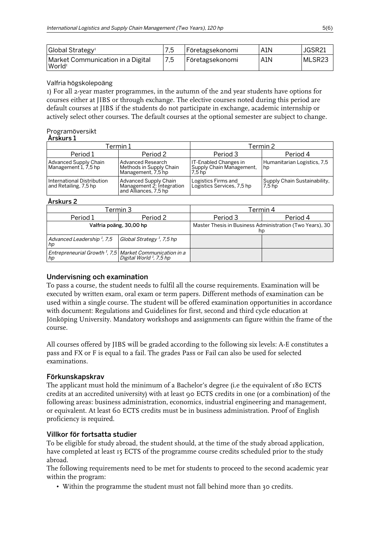| Global Strategy¤                                        |     | Företagsekonomi | A1N | JGSR21 |
|---------------------------------------------------------|-----|-----------------|-----|--------|
| Market Communication in a Digital<br>World <sup>1</sup> | 7,5 | Företagsekonomi | A1N | MLSR23 |

### Valfria högskolepoäng

1) For all 2-year master programmes, in the autumn of the 2nd year students have options for courses either at JIBS or through exchange. The elective courses noted during this period are default courses at JIBS if the students do not participate in exchange, academic internship or actively select other courses. The default courses at the optional semester are subject to change.

#### Programöversikt  $\delta$ rekurs 1

| AI SNUIS I                                           |                                                                             |                                                                       |                                                   |  |
|------------------------------------------------------|-----------------------------------------------------------------------------|-----------------------------------------------------------------------|---------------------------------------------------|--|
| Termin 1                                             |                                                                             | Termin 2                                                              |                                                   |  |
| Period 1                                             | Period 2                                                                    | Period 3                                                              | Period 4                                          |  |
| <b>Advanced Supply Chain</b><br>Management 1, 7,5 hp | Advanced Research<br>Methods in Supply Chain<br>Management, 7.5 hp          | IT-Enabled Changes in<br>Supply Chain Management,<br>7.5 <sub>h</sub> | Humanitarian Logistics, 7,5<br>hp                 |  |
| International Distribution<br>and Retailing, 7,5 hp  | Advanced Supply Chain<br>Management 2: Integration<br>and Alliances, 7.5 hp | Logistics Firms and<br>Logistics Services, 7,5 hp                     | Supply Chain Sustainability,<br>7.5 <sub>hp</sub> |  |

### Årskurs 2

| Termin 3                                                                  |                                       | Termin 4                                                       |          |  |
|---------------------------------------------------------------------------|---------------------------------------|----------------------------------------------------------------|----------|--|
| Period 1                                                                  | Period 2                              | Period 3                                                       | Period 4 |  |
| Valfria poäng, 30,00 hp                                                   |                                       | Master Thesis in Business Administration (Two Years), 30<br>hp |          |  |
| Advanced Leadership <sup>1</sup> , 7,5<br>hp                              | Global Strategy <sup>1</sup> , 7,5 hp |                                                                |          |  |
| Entrepreneurial Growth <sup>T</sup> , 7,5 Market Communication in a<br>hp |                                       |                                                                |          |  |

### Undervisning och examination

To pass a course, the student needs to fulfil all the course requirements. Examination will be executed by written exam, oral exam or term papers. Different methods of examination can be used within a single course. The student will be offered examination opportunities in accordance with document: Regulations and Guidelines for first, second and third cycle education at Jönköping University. Mandatory workshops and assignments can figure within the frame of the course.

All courses offered by JIBS will be graded according to the following six levels: A-E constitutes a pass and FX or F is equal to a fail. The grades Pass or Fail can also be used for selected examinations.

### Förkunskapskrav

The applicant must hold the minimum of a Bachelor's degree (i.e the equivalent of 180 ECTS credits at an accredited university) with at least 90 ECTS credits in one (or a combination) of the following areas: business administration, economics, industrial engineering and management, or equivalent. At least 60 ECTS credits must be in business administration. Proof of English proficiency is required.

### Villkor för fortsatta studier

To be eligible for study abroad, the student should, at the time of the study abroad application, have completed at least 15 ECTS of the programme course credits scheduled prior to the study abroad.

The following requirements need to be met for students to proceed to the second academic year within the program:

• Within the programme the student must not fall behind more than 30 credits.